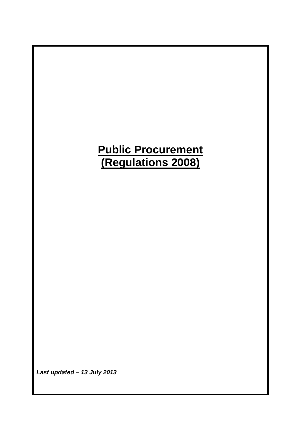# **Public Procurement (Regulations 2008)**

*Last updated – 13 July 2013*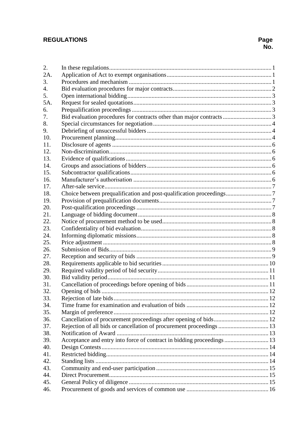# **REGULATIONS**

| 2.  |                                                                       |  |
|-----|-----------------------------------------------------------------------|--|
| 2A. |                                                                       |  |
| 3.  |                                                                       |  |
| 4.  |                                                                       |  |
| 5.  |                                                                       |  |
| 5A. |                                                                       |  |
| 6.  |                                                                       |  |
| 7.  |                                                                       |  |
| 8.  |                                                                       |  |
| 9.  |                                                                       |  |
| 10. |                                                                       |  |
| 11. |                                                                       |  |
| 12. |                                                                       |  |
| 13. |                                                                       |  |
| 14. |                                                                       |  |
| 15. |                                                                       |  |
| 16. |                                                                       |  |
| 17. |                                                                       |  |
| 18. |                                                                       |  |
| 19. |                                                                       |  |
| 20. |                                                                       |  |
| 21. |                                                                       |  |
| 22. |                                                                       |  |
| 23. |                                                                       |  |
| 24. |                                                                       |  |
| 25. |                                                                       |  |
| 26. |                                                                       |  |
| 27. |                                                                       |  |
| 28. |                                                                       |  |
| 29. |                                                                       |  |
| 30. |                                                                       |  |
| 31. |                                                                       |  |
| 32. |                                                                       |  |
| 33. |                                                                       |  |
| 34. |                                                                       |  |
| 35. |                                                                       |  |
| 36. |                                                                       |  |
| 37. | Rejection of all bids or cancellation of procurement proceedings  13  |  |
| 38. |                                                                       |  |
| 39. | Acceptance and entry into force of contract in bidding proceedings 13 |  |
| 40. |                                                                       |  |
| 41. |                                                                       |  |
| 42. |                                                                       |  |
| 43. |                                                                       |  |
| 44. |                                                                       |  |
| 45. |                                                                       |  |
| 46. |                                                                       |  |
|     |                                                                       |  |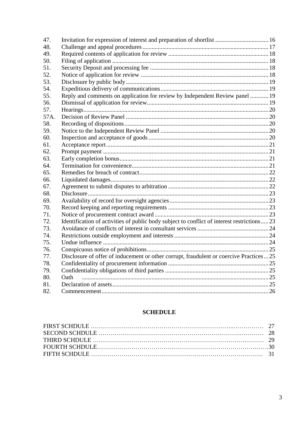| 47.  |                                                                                            |  |
|------|--------------------------------------------------------------------------------------------|--|
| 48.  |                                                                                            |  |
| 49.  |                                                                                            |  |
| 50.  |                                                                                            |  |
| 51.  |                                                                                            |  |
| 52.  |                                                                                            |  |
| 53.  |                                                                                            |  |
| 54.  |                                                                                            |  |
| 55.  | Reply and comments on application for review by Independent Review panel  19               |  |
| 56.  |                                                                                            |  |
| 57.  |                                                                                            |  |
| 57A. |                                                                                            |  |
| 58.  |                                                                                            |  |
| 59.  |                                                                                            |  |
| 60.  |                                                                                            |  |
| 61.  |                                                                                            |  |
| 62.  |                                                                                            |  |
| 63.  |                                                                                            |  |
| 64.  |                                                                                            |  |
| 65.  |                                                                                            |  |
| 66.  |                                                                                            |  |
| 67.  |                                                                                            |  |
| 68.  |                                                                                            |  |
| 69.  |                                                                                            |  |
| 70.  |                                                                                            |  |
| 71.  |                                                                                            |  |
| 72.  | Identification of activities of public body subject to conflict of interest restrictions23 |  |
| 73.  |                                                                                            |  |
| 74.  |                                                                                            |  |
| 75.  |                                                                                            |  |
| 76.  |                                                                                            |  |
| 77.  | Disclosure of offer of inducement or other corrupt, fraudulent or coercive Practices  25   |  |
| 78.  |                                                                                            |  |
| 79.  |                                                                                            |  |
| 80.  | Oath                                                                                       |  |
| 81.  |                                                                                            |  |
| 82.  |                                                                                            |  |

## **SCHEDULE**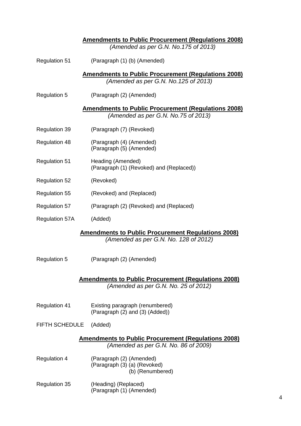|                                                                                                    | <u><b>Amendments to Public Procurement (Regulations 2008)</b></u><br>(Amended as per G.N. No. 175 of 2013) |  |
|----------------------------------------------------------------------------------------------------|------------------------------------------------------------------------------------------------------------|--|
| <b>Regulation 51</b>                                                                               | (Paragraph (1) (b) (Amended)                                                                               |  |
|                                                                                                    | <b>Amendments to Public Procurement (Regulations 2008)</b>                                                 |  |
|                                                                                                    | (Amended as per G.N. No. 125 of 2013)                                                                      |  |
| <b>Regulation 5</b>                                                                                | (Paragraph (2) (Amended)                                                                                   |  |
|                                                                                                    | <u><b>Amendments to Public Procurement (Regulations 2008)</b></u><br>(Amended as per G.N. No.75 of 2013)   |  |
| <b>Regulation 39</b>                                                                               | (Paragraph (7) (Revoked)                                                                                   |  |
| <b>Regulation 48</b>                                                                               | (Paragraph (4) (Amended)<br>(Paragraph (5) (Amended)                                                       |  |
| <b>Regulation 51</b>                                                                               | Heading (Amended)<br>(Paragraph (1) (Revoked) and (Replaced))                                              |  |
| <b>Regulation 52</b>                                                                               | (Revoked)                                                                                                  |  |
| <b>Regulation 55</b>                                                                               | (Revoked) and (Replaced)                                                                                   |  |
| <b>Regulation 57</b>                                                                               | (Paragraph (2) (Revoked) and (Replaced)                                                                    |  |
| <b>Regulation 57A</b>                                                                              | (Added)                                                                                                    |  |
|                                                                                                    | <b>Amendments to Public Procurement Regulations 2008)</b>                                                  |  |
|                                                                                                    | (Amended as per G.N. No. 128 of 2012)                                                                      |  |
| <b>Regulation 5</b>                                                                                | (Paragraph (2) (Amended)                                                                                   |  |
|                                                                                                    | <b>Amendments to Public Procurement (Regulations 2008)</b><br>(Amended as per G.N. No. 25 of 2012)         |  |
| <b>Regulation 41</b>                                                                               | Existing paragraph (renumbered)<br>(Paragraph (2) and (3) (Added))                                         |  |
| <b>FIFTH SCHEDULE</b>                                                                              | (Added)                                                                                                    |  |
| <u>Amendments to Public Procurement (Regulations 2008)</u><br>(Amended as per G.N. No. 86 of 2009) |                                                                                                            |  |
| <b>Regulation 4</b>                                                                                | (Paragraph (2) (Amended)<br>(Paragraph (3) (a) (Revoked)<br>(b) (Renumbered)                               |  |
| <b>Regulation 35</b>                                                                               | (Heading) (Replaced)<br>(Paragraph (1) (Amended)                                                           |  |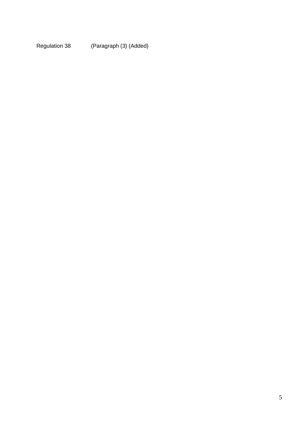Regulation 38 (Paragraph (3) (Added)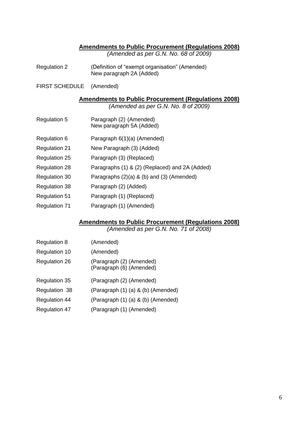## **Amendments to Public Procurement (Regulations 2008)**

*(Amended as per G.N. No. 68 of 2009)*

- Regulation 2 (Definition of "exempt organisation" (Amended) New paragraph 2A (Added)
- FIRST SCHEDULE (Amended)

**Amendments to Public Procurement (Regulations 2008)** *(Amended as per G.N. No. 8 of 2009)*

- Regulation 5 Paragraph (2) (Amended) New paragraph 5A (Added)
- Regulation 6 Paragraph 6(1)(a) (Amended)
- Regulation 21 New Paragraph (3) (Added)
- Regulation 25 Paragraph (3) (Replaced)
- Regulation 28 Paragraphs (1) & (2) (Replaced) and 2A (Added)
- Regulation 30 Paragraphs (2)(a) & (b) and (3) (Amended)
- Regulation 38 Paragraph (2) (Added)
- Regulation 51 Paragraph (1) (Replaced)
- Regulation 71 Paragraph (1) (Amended)

## **Amendments to Public Procurement (Regulations 2008)**

*(Amended as per G.N. No. 71 of 2008)*

- Regulation 8 (Amended)
- Regulation 10 (Amended)
- Regulation 26 (Paragraph (2) (Amended) (Paragraph (6) (Amended)
- Regulation 35 (Paragraph (2) (Amended)
- Regulation 38 (Paragraph (1) (a) & (b) (Amended)
- Regulation 44 (Paragraph (1) (a) & (b) (Amended)
- Regulation 47 (Paragraph (1) (Amended)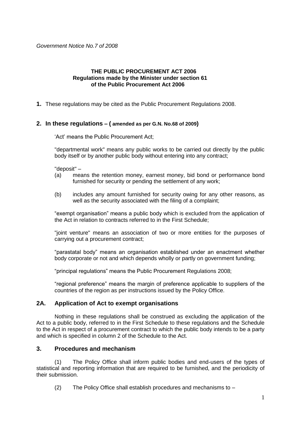*Government Notice No.7 of 2008*

## **THE PUBLIC PROCUREMENT ACT 2006 Regulations made by the Minister under section 61 of the Public Procurement Act 2006**

**1.** These regulations may be cited as the Public Procurement Regulations 2008.

## <span id="page-6-0"></span>**2. In these regulations – ( amended as per G.N. No.68 of 2009)**

'Act' means the Public Procurement Act;

"departmental work" means any public works to be carried out directly by the public body itself or by another public body without entering into any contract;

"deposit" –

- (a) means the retention money, earnest money, bid bond or performance bond furnished for security or pending the settlement of any work;
- (b) includes any amount furnished for security owing for any other reasons, as well as the security associated with the filing of a complaint;

"exempt organisation" means a public body which is excluded from the application of the Act in relation to contracts referred to in the First Schedule;

"joint venture" means an association of two or more entities for the purposes of carrying out a procurement contract;

"parastatal body" means an organisation established under an enactment whether body corporate or not and which depends wholly or partly on government funding;

"principal regulations" means the Public Procurement Regulations 2008;

"regional preference" means the margin of preference applicable to suppliers of the countries of the region as per instructions issued by the Policy Office.

## <span id="page-6-1"></span>**2A. Application of Act to exempt organisations**

Nothing in these regulations shall be construed as excluding the application of the Act to a public body, referred to in the First Schedule to these regulations and the Schedule to the Act in respect of a procurement contract to which the public body intends to be a party and which is specified in column 2 of the Schedule to the Act.

## <span id="page-6-2"></span>**3. Procedures and mechanism**

The Policy Office shall inform public bodies and end-users of the types of statistical and reporting information that are required to be furnished, and the periodicity of their submission.

(2) The Policy Office shall establish procedures and mechanisms to –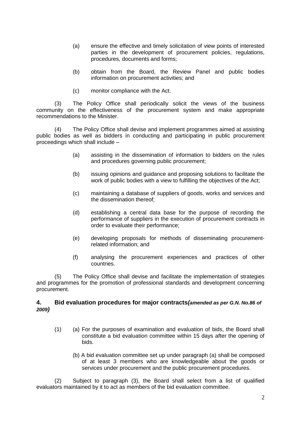- (a) ensure the effective and timely solicitation of view points of interested parties in the development of procurement policies, regulations, procedures, documents and forms;
- (b) obtain from the Board, the Review Panel and public bodies information on procurement activities; and
- (c) monitor compliance with the Act.

(3) The Policy Office shall periodically solicit the views of the business community on the effectiveness of the procurement system and make appropriate recommendations to the Minister.

(4) The Policy Office shall devise and implement programmes aimed at assisting public bodies as well as bidders in conducting and participating in public procurement proceedings which shall include –

- (a) assisting in the dissemination of information to bidders on the rules and procedures governing public procurement;
- (b) issuing opinions and guidance and proposing solutions to facilitate the work of public bodies with a view to fulfilling the objectives of the Act;
- (c) maintaining a database of suppliers of goods, works and services and the dissemination thereof;
- (d) establishing a central data base for the purpose of recording the performance of suppliers in the execution of procurement contracts in order to evaluate their performance;
- (e) developing proposals for methods of disseminating procurementrelated information; and
- (f) analysing the procurement experiences and practices of other countries.

(5) The Policy Office shall devise and facilitate the implementation of strategies and programmes for the promotion of professional standards and development concerning procurement.

## <span id="page-7-0"></span>**4. Bid evaluation procedures for major contracts***(amended as per G.N. No.86 of 2009)*

- (1) (a) For the purposes of examination and evaluation of bids, the Board shall constitute a bid evaluation committee within 15 days after the opening of bids.
	- (b) A bid evaluation committee set up under paragraph (a) shall be composed of at least 3 members who are knowledgeable about the goods or services under procurement and the public procurement procedures.

(2) Subject to paragraph (3), the Board shall select from a list of qualified evaluators maintained by it to act as members of the bid evaluation committee.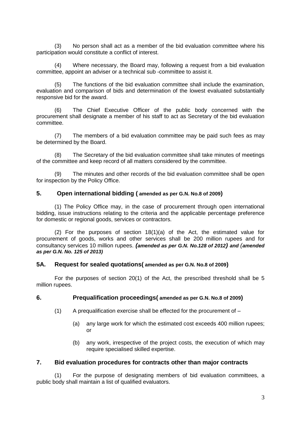(3) No person shall act as a member of the bid evaluation committee where his participation would constitute a conflict of interest.

(4) Where necessary, the Board may, following a request from a bid evaluation committee, appoint an adviser or a technical sub -committee to assist it.

(5) The functions of the bid evaluation committee shall include the examination, evaluation and comparison of bids and determination of the lowest evaluated substantially responsive bid for the award.

(6) The Chief Executive Officer of the public body concerned with the procurement shall designate a member of his staff to act as Secretary of the bid evaluation committee.

(7) The members of a bid evaluation committee may be paid such fees as may be determined by the Board.

(8) The Secretary of the bid evaluation committee shall take minutes of meetings of the committee and keep record of all matters considered by the committee.

(9) The minutes and other records of the bid evaluation committee shall be open for inspection by the Policy Office.

## <span id="page-8-0"></span>**5. Open international bidding ( amended as per G.N. No.8 of 2009)**

(1) The Policy Office may, in the case of procurement through open international bidding, issue instructions relating to the criteria and the applicable percentage preference for domestic or regional goods, services or contractors.

(2) For the purposes of section 18(1)(a) of the Act, the estimated value for procurement of goods, works and other services shall be 200 million rupees and for consultancy services 10 million rupees. *(amended as per G.N. No.128 of 2012) and (amended as per G.N. No. 125 of 2013)*

## <span id="page-8-1"></span>**5A. Request for sealed quotations( amended as per G.N. No.8 of 2009)**

For the purposes of section 20(1) of the Act, the prescribed threshold shall be 5 million rupees.

#### <span id="page-8-2"></span>**6. Prequalification proceedings( amended as per G.N. No.8 of 2009)**

- $(1)$  A prequalification exercise shall be effected for the procurement of  $-$ 
	- (a) any large work for which the estimated cost exceeds 400 million rupees; or
	- (b) any work, irrespective of the project costs, the execution of which may require specialised skilled expertise.

## <span id="page-8-3"></span>**7. Bid evaluation procedures for contracts other than major contracts**

(1) For the purpose of designating members of bid evaluation committees, a public body shall maintain a list of qualified evaluators.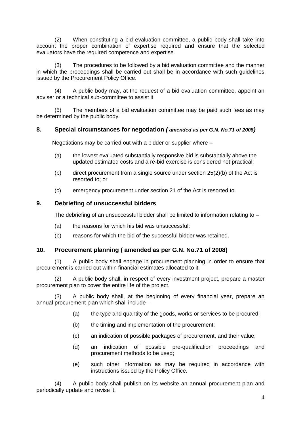(2) When constituting a bid evaluation committee, a public body shall take into account the proper combination of expertise required and ensure that the selected evaluators have the required competence and expertise.

(3) The procedures to be followed by a bid evaluation committee and the manner in which the proceedings shall be carried out shall be in accordance with such guidelines issued by the Procurement Policy Office.

(4) A public body may, at the request of a bid evaluation committee, appoint an adviser or a technical sub-committee to assist it.

(5) The members of a bid evaluation committee may be paid such fees as may be determined by the public body.

## <span id="page-9-0"></span>**8. Special circumstances for negotiation** *( amended as per G.N. No.71 of 2008)*

Negotiations may be carried out with a bidder or supplier where –

- (a) the lowest evaluated substantially responsive bid is substantially above the updated estimated costs and a re-bid exercise is considered not practical;
- (b) direct procurement from a single source under section 25(2)(b) of the Act is resorted to; or
- (c) emergency procurement under section 21 of the Act is resorted to.

## <span id="page-9-1"></span>**9. Debriefing of unsuccessful bidders**

The debriefing of an unsuccessful bidder shall be limited to information relating to -

- (a) the reasons for which his bid was unsuccessful;
- (b) reasons for which the bid of the successful bidder was retained.

## <span id="page-9-2"></span>**10. Procurement planning ( amended as per G.N. No.71 of 2008)**

(1) A public body shall engage in procurement planning in order to ensure that procurement is carried out within financial estimates allocated to it.

(2) A public body shall, in respect of every investment project, prepare a master procurement plan to cover the entire life of the project.

(3) A public body shall, at the beginning of every financial year, prepare an annual procurement plan which shall include –

- (a) the type and quantity of the goods, works or services to be procured;
- (b) the timing and implementation of the procurement;
- (c) an indication of possible packages of procurement, and their value;
- (d) an indication of possible pre-qualification proceedings and procurement methods to be used;
- (e) such other information as may be required in accordance with instructions issued by the Policy Office.

(4) A public body shall publish on its website an annual procurement plan and periodically update and revise it.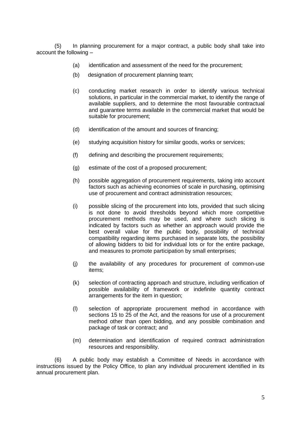(5) In planning procurement for a major contract, a public body shall take into account the following –

- (a) identification and assessment of the need for the procurement;
- (b) designation of procurement planning team;
- (c) conducting market research in order to identify various technical solutions, in particular in the commercial market, to identify the range of available suppliers, and to determine the most favourable contractual and guarantee terms available in the commercial market that would be suitable for procurement;
- (d) identification of the amount and sources of financing;
- (e) studying acquisition history for similar goods, works or services;
- (f) defining and describing the procurement requirements;
- (g) estimate of the cost of a proposed procurement;
- (h) possible aggregation of procurement requirements, taking into account factors such as achieving economies of scale in purchasing, optimising use of procurement and contract administration resources;
- (i) possible slicing of the procurement into lots, provided that such slicing is not done to avoid thresholds beyond which more competitive procurement methods may be used, and where such slicing is indicated by factors such as whether an approach would provide the best overall value for the public body, possibility of technical compatibility regarding items purchased in separate lots, the possibility of allowing bidders to bid for individual lots or for the entire package, and measures to promote participation by small enterprises;
- (j) the availability of any procedures for procurement of common-use items;
- (k) selection of contracting approach and structure, including verification of possible availability of framework or indefinite quantity contract arrangements for the item in question;
- (l) selection of appropriate procurement method in accordance with sections 15 to 25 of the Act, and the reasons for use of a procurement method other than open bidding, and any possible combination and package of task or contract; and
- (m) determination and identification of required contract administration resources and responsibility.

(6) A public body may establish a Committee of Needs in accordance with instructions issued by the Policy Office, to plan any individual procurement identified in its annual procurement plan.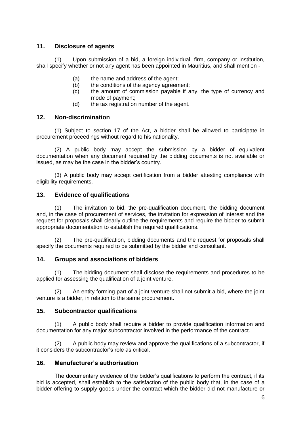## <span id="page-11-0"></span>**11. Disclosure of agents**

(1) Upon submission of a bid, a foreign individual, firm, company or institution, shall specify whether or not any agent has been appointed in Mauritius, and shall mention -

- (a) the name and address of the agent;
- (b) the conditions of the agency agreement;
- (c) the amount of commission payable if any, the type of currency and mode of payment;
- (d) the tax registration number of the agent.

## <span id="page-11-1"></span>**12. Non-discrimination**

(1) Subject to section 17 of the Act, a bidder shall be allowed to participate in procurement proceedings without regard to his nationality.

(2) A public body may accept the submission by a bidder of equivalent documentation when any document required by the bidding documents is not available or issued, as may be the case in the bidder's country.

(3) A public body may accept certification from a bidder attesting compliance with eligibility requirements.

## <span id="page-11-2"></span>**13. Evidence of qualifications**

(1) The invitation to bid, the pre-qualification document, the bidding document and, in the case of procurement of services, the invitation for expression of interest and the request for proposals shall clearly outline the requirements and require the bidder to submit appropriate documentation to establish the required qualifications.

(2) The pre-qualification, bidding documents and the request for proposals shall specify the documents required to be submitted by the bidder and consultant.

## <span id="page-11-3"></span>**14. Groups and associations of bidders**

(1) The bidding document shall disclose the requirements and procedures to be applied for assessing the qualification of a joint venture.

(2) An entity forming part of a joint venture shall not submit a bid, where the joint venture is a bidder, in relation to the same procurement.

## <span id="page-11-4"></span>**15. Subcontractor qualifications**

(1) A public body shall require a bidder to provide qualification information and documentation for any major subcontractor involved in the performance of the contract.

(2) A public body may review and approve the qualifications of a subcontractor, if it considers the subcontractor's role as critical.

## <span id="page-11-5"></span>**16. Manufacturer's authorisation**

The documentary evidence of the bidder's qualifications to perform the contract, if its bid is accepted, shall establish to the satisfaction of the public body that, in the case of a bidder offering to supply goods under the contract which the bidder did not manufacture or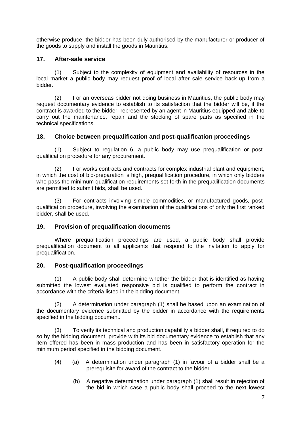otherwise produce, the bidder has been duly authorised by the manufacturer or producer of the goods to supply and install the goods in Mauritius.

## <span id="page-12-0"></span>**17. After-sale service**

(1) Subject to the complexity of equipment and availability of resources in the local market a public body may request proof of local after sale service back-up from a bidder.

(2) For an overseas bidder not doing business in Mauritius, the public body may request documentary evidence to establish to its satisfaction that the bidder will be, if the contract is awarded to the bidder, represented by an agent in Mauritius equipped and able to carry out the maintenance, repair and the stocking of spare parts as specified in the technical specifications.

## <span id="page-12-1"></span>**18. Choice between prequalification and post-qualification proceedings**

(1) Subject to regulation 6, a public body may use prequalification or postqualification procedure for any procurement.

(2) For works contracts and contracts for complex industrial plant and equipment, in which the cost of bid-preparation is high, prequalification procedure, in which only bidders who pass the minimum qualification requirements set forth in the prequalification documents are permitted to submit bids, shall be used.

(3) For contracts involving simple commodities, or manufactured goods, postqualification procedure, involving the examination of the qualifications of only the first ranked bidder, shall be used.

## <span id="page-12-2"></span>**19. Provision of prequalification documents**

Where prequalification proceedings are used, a public body shall provide prequalification document to all applicants that respond to the invitation to apply for prequalification.

## <span id="page-12-3"></span>**20. Post-qualification proceedings**

(1) A public body shall determine whether the bidder that is identified as having submitted the lowest evaluated responsive bid is qualified to perform the contract in accordance with the criteria listed in the bidding document.

(2) A determination under paragraph (1) shall be based upon an examination of the documentary evidence submitted by the bidder in accordance with the requirements specified in the bidding document.

(3) To verify its technical and production capability a bidder shall, if required to do so by the bidding document, provide with its bid documentary evidence to establish that any item offered has been in mass production and has been in satisfactory operation for the minimum period specified in the bidding document.

- (4) (a) A determination under paragraph (1) in favour of a bidder shall be a prerequisite for award of the contract to the bidder.
	- (b) A negative determination under paragraph (1) shall result in rejection of the bid in which case a public body shall proceed to the next lowest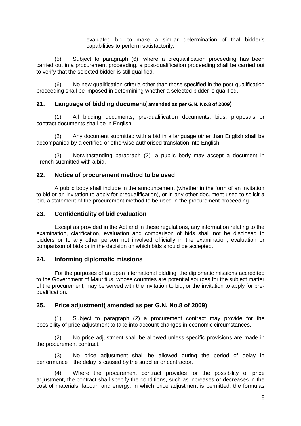evaluated bid to make a similar determination of that bidder's capabilities to perform satisfactorily.

(5) Subject to paragraph (6), where a prequalification proceeding has been carried out in a procurement proceeding, a post-qualification proceeding shall be carried out to verify that the selected bidder is still qualified.

(6) No new qualification criteria other than those specified in the post-qualification proceeding shall be imposed in determining whether a selected bidder is qualified.

## <span id="page-13-0"></span>**21. Language of bidding document( amended as per G.N. No.8 of 2009)**

(1) All bidding documents, pre-qualification documents, bids, proposals or contract documents shall be in English.

(2) Any document submitted with a bid in a language other than English shall be accompanied by a certified or otherwise authorised translation into English.

(3) Notwithstanding paragraph (2), a public body may accept a document in French submitted with a bid.

## <span id="page-13-1"></span>**22. Notice of procurement method to be used**

A public body shall include in the announcement (whether in the form of an invitation to bid or an invitation to apply for prequalification), or in any other document used to solicit a bid, a statement of the procurement method to be used in the procurement proceeding.

## <span id="page-13-2"></span>**23. Confidentiality of bid evaluation**

Except as provided in the Act and in these regulations, any information relating to the examination, clarification, evaluation and comparison of bids shall not be disclosed to bidders or to any other person not involved officially in the examination, evaluation or comparison of bids or in the decision on which bids should be accepted.

## <span id="page-13-3"></span>**24. Informing diplomatic missions**

For the purposes of an open international bidding, the diplomatic missions accredited to the Government of Mauritius, whose countries are potential sources for the subject matter of the procurement, may be served with the invitation to bid, or the invitation to apply for prequalification.

## <span id="page-13-4"></span>**25. Price adjustment( amended as per G.N. No.8 of 2009)**

(1) Subject to paragraph (2) a procurement contract may provide for the possibility of price adjustment to take into account changes in economic circumstances.

(2) No price adjustment shall be allowed unless specific provisions are made in the procurement contract.

(3) No price adjustment shall be allowed during the period of delay in performance if the delay is caused by the supplier or contractor.

(4) Where the procurement contract provides for the possibility of price adjustment, the contract shall specify the conditions, such as increases or decreases in the cost of materials, labour, and energy, in which price adjustment is permitted, the formulas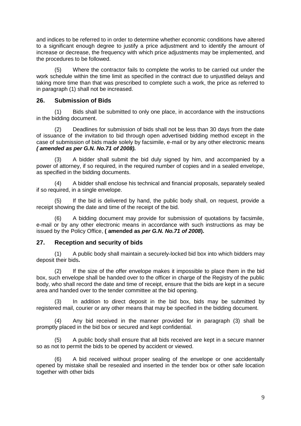and indices to be referred to in order to determine whether economic conditions have altered to a significant enough degree to justify a price adjustment and to identify the amount of increase or decrease, the frequency with which price adjustments may be implemented, and the procedures to be followed.

(5) Where the contractor fails to complete the works to be carried out under the work schedule within the time limit as specified in the contract due to unjustified delays and taking more time than that was prescribed to complete such a work, the price as referred to in paragraph (1) shall not be increased.

## <span id="page-14-0"></span>**26. Submission of Bids**

(1) Bids shall be submitted to only one place, in accordance with the instructions in the bidding document.

(2) Deadlines for submission of bids shall not be less than 30 days from the date of issuance of the invitation to bid through open advertised bidding method except in the case of submission of bids made solely by facsimile, e-mail or by any other electronic means *( amended as per G.N. No.71 of 2008).*

(3) A bidder shall submit the bid duly signed by him, and accompanied by a power of attorney, if so required, in the required number of copies and in a sealed envelope, as specified in the bidding documents.

(4) A bidder shall enclose his technical and financial proposals, separately sealed if so required, in a single envelope.

(5) If the bid is delivered by hand, the public body shall, on request, provide a receipt showing the date and time of the receipt of the bid.

(6) A bidding document may provide for submission of quotations by facsimile, e-mail or by any other electronic means in accordance with such instructions as may be issued by the Policy Office, **( amended as** *per G.N. No.71 of 2008***).**

## <span id="page-14-1"></span>**27. Reception and security of bids**

(1) A public body shall maintain a securely-locked bid box into which bidders may deposit their bids**.**

(2) If the size of the offer envelope makes it impossible to place them in the bid box, such envelope shall be handed over to the officer in charge of the Registry of the public body, who shall record the date and time of receipt, ensure that the bids are kept in a secure area and handed over to the tender committee at the bid opening.

(3) In addition to direct deposit in the bid box, bids may be submitted by registered mail, courier or any other means that may be specified in the bidding document.

(4) Any bid received in the manner provided for in paragraph (3) shall be promptly placed in the bid box or secured and kept confidential.

(5) A public body shall ensure that all bids received are kept in a secure manner so as not to permit the bids to be opened by accident or viewed.

(6) A bid received without proper sealing of the envelope or one accidentally opened by mistake shall be resealed and inserted in the tender box or other safe location together with other bids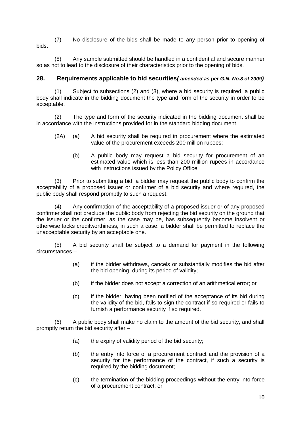(7) No disclosure of the bids shall be made to any person prior to opening of bids.

(8) Any sample submitted should be handled in a confidential and secure manner so as not to lead to the disclosure of their characteristics prior to the opening of bids.

## <span id="page-15-0"></span>**28. Requirements applicable to bid securities***( amended as per G.N. No.8 of 2009)*

(1) Subject to subsections (2) and (3), where a bid security is required, a public body shall indicate in the bidding document the type and form of the security in order to be acceptable.

(2) The type and form of the security indicated in the bidding document shall be in accordance with the instructions provided for in the standard bidding document.

- (2A) (a) A bid security shall be required in procurement where the estimated value of the procurement exceeds 200 million rupees;
	- (b) A public body may request a bid security for procurement of an estimated value which is less than 200 million rupees in accordance with instructions issued by the Policy Office.

(3) Prior to submitting a bid, a bidder may request the public body to confirm the acceptability of a proposed issuer or confirmer of a bid security and where required, the public body shall respond promptly to such a request.

(4) Any confirmation of the acceptability of a proposed issuer or of any proposed confirmer shall not preclude the public body from rejecting the bid security on the ground that the issuer or the confirmer, as the case may be, has subsequently become insolvent or otherwise lacks creditworthiness, in such a case, a bidder shall be permitted to replace the unacceptable security by an acceptable one.

(5) A bid security shall be subject to a demand for payment in the following circumstances –

- (a) if the bidder withdraws, cancels or substantially modifies the bid after the bid opening, during its period of validity;
- (b) if the bidder does not accept a correction of an arithmetical error; or
- (c) if the bidder, having been notified of the acceptance of its bid during the validity of the bid, fails to sign the contract if so required or fails to furnish a performance security if so required.

(6) A public body shall make no claim to the amount of the bid security, and shall promptly return the bid security after –

- (a) the expiry of validity period of the bid security;
- (b) the entry into force of a procurement contract and the provision of a security for the performance of the contract, if such a security is required by the bidding document;
- (c) the termination of the bidding proceedings without the entry into force of a procurement contract; or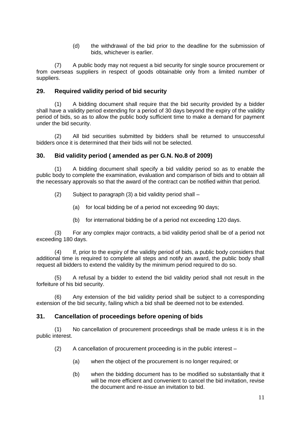(d) the withdrawal of the bid prior to the deadline for the submission of bids, whichever is earlier.

(7) A public body may not request a bid security for single source procurement or from overseas suppliers in respect of goods obtainable only from a limited number of suppliers.

## <span id="page-16-0"></span>**29. Required validity period of bid security**

(1) A bidding document shall require that the bid security provided by a bidder shall have a validity period extending for a period of 30 days beyond the expiry of the validity period of bids, so as to allow the public body sufficient time to make a demand for payment under the bid security.

(2) All bid securities submitted by bidders shall be returned to unsuccessful bidders once it is determined that their bids will not be selected.

## <span id="page-16-1"></span>**30. Bid validity period ( amended as per G.N. No.8 of 2009)**

(1) A bidding document shall specify a bid validity period so as to enable the public body to complete the examination, evaluation and comparison of bids and to obtain all the necessary approvals so that the award of the contract can be notified within that period.

- (2) Subject to paragraph (3) a bid validity period shall
	- (a) for local bidding be of a period not exceeding 90 days;
	- (b) for international bidding be of a period not exceeding 120 days.

(3) For any complex major contracts, a bid validity period shall be of a period not exceeding 180 days.

(4) If, prior to the expiry of the validity period of bids, a public body considers that additional time is required to complete all steps and notify an award, the public body shall request all bidders to extend the validity by the minimum period required to do so.

(5) A refusal by a bidder to extend the bid validity period shall not result in the forfeiture of his bid security.

(6) Any extension of the bid validity period shall be subject to a corresponding extension of the bid security, failing which a bid shall be deemed not to be extended.

## <span id="page-16-2"></span>**31. Cancellation of proceedings before opening of bids**

(1) No cancellation of procurement proceedings shall be made unless it is in the public interest.

(2) A cancellation of procurement proceeding is in the public interest –

- (a) when the object of the procurement is no longer required; or
- (b) when the bidding document has to be modified so substantially that it will be more efficient and convenient to cancel the bid invitation, revise the document and re-issue an invitation to bid.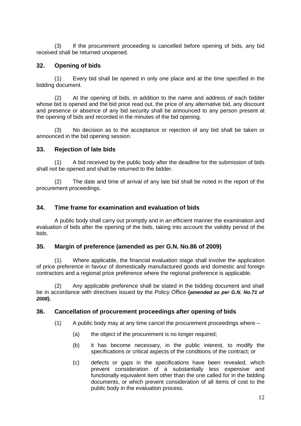(3) If the procurement proceeding is cancelled before opening of bids, any bid received shall be returned unopened.

## <span id="page-17-0"></span>**32. Opening of bids**

(1) Every bid shall be opened in only one place and at the time specified in the bidding document.

(2) At the opening of bids, in addition to the name and address of each bidder whose bid is opened and the bid price read out, the price of any alternative bid, any discount and presence or absence of any bid security shall be announced to any person present at the opening of bids and recorded in the minutes of the bid opening.

(3) No decision as to the acceptance or rejection of any bid shall be taken or announced in the bid opening session.

## <span id="page-17-1"></span>**33. Rejection of late bids**

(1) A bid received by the public body after the deadline for the submission of bids shall not be opened and shall be returned to the bidder.

(2) The date and time of arrival of any late bid shall be noted in the report of the procurement proceedings.

## <span id="page-17-2"></span>**34. Time frame for examination and evaluation of bids**

A public body shall carry out promptly and in an efficient manner the examination and evaluation of bids after the opening of the bids, taking into account the validity period of the bids.

## <span id="page-17-3"></span>**35. Margin of preference (amended as per G.N. No.86 of 2009)**

(1) Where applicable, the financial evaluation stage shall involve the application of price preference in favour of domestically manufactured goods and domestic and foreign contractors and a regional price preference where the regional preference is applicable.

(2) Any applicable preference shall be stated in the bidding document and shall be in accordance with directives issued by the Policy Office **(***amended as per G.N. No.71 of 2008***).**

## <span id="page-17-4"></span>**36. Cancellation of procurement proceedings after opening of bids**

(1) A public body may at any time cancel the procurement proceedings where –

- (a) the object of the procurement is no longer required;
- (b) it has become necessary, in the public interest, to modify the specifications or critical aspects of the conditions of the contract; or
- (c) defects or gaps in the specifications have been revealed, which prevent consideration of a substantially less expensive and functionally equivalent item other than the one called for in the bidding documents, or which prevent consideration of all items of cost to the public body in the evaluation process.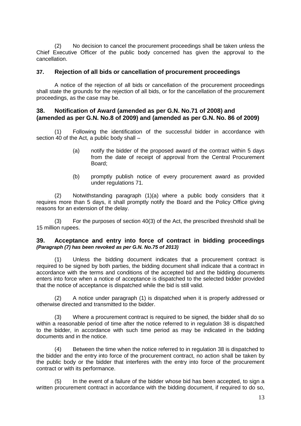(2) No decision to cancel the procurement proceedings shall be taken unless the Chief Executive Officer of the public body concerned has given the approval to the cancellation.

## <span id="page-18-0"></span>**37. Rejection of all bids or cancellation of procurement proceedings**

A notice of the rejection of all bids or cancellation of the procurement proceedings shall state the grounds for the rejection of all bids, or for the cancellation of the procurement proceedings, as the case may be.

## <span id="page-18-1"></span>**38. Notification of Award (amended as per G.N. No.71 of 2008) and (amended as per G.N. No.8 of 2009) and (amended as per G.N. No. 86 of 2009)**

(1) Following the identification of the successful bidder in accordance with section 40 of the Act, a public body shall –

- (a) notify the bidder of the proposed award of the contract within 5 days from the date of receipt of approval from the Central Procurement Board;
- (b) promptly publish notice of every procurement award as provided under regulations 71.

(2) Notwithstanding paragraph (1)(a) where a public body considers that it requires more than 5 days, it shall promptly notify the Board and the Policy Office giving reasons for an extension of the delay.

(3) For the purposes of section 40(3) of the Act, the prescribed threshold shall be 15 million rupees.

## <span id="page-18-2"></span>**39. Acceptance and entry into force of contract in bidding proceedings** *(Paragraph (7) has been revoked as per G.N. No.75 of 2013)*

Unless the bidding document indicates that a procurement contract is required to be signed by both parties, the bidding document shall indicate that a contract in accordance with the terms and conditions of the accepted bid and the bidding documents enters into force when a notice of acceptance is dispatched to the selected bidder provided that the notice of acceptance is dispatched while the bid is still valid.

(2) A notice under paragraph (1) is dispatched when it is properly addressed or otherwise directed and transmitted to the bidder.

(3) Where a procurement contract is required to be signed, the bidder shall do so within a reasonable period of time after the notice referred to in regulation 38 is dispatched to the bidder, in accordance with such time period as may be indicated in the bidding documents and in the notice.

(4) Between the time when the notice referred to in regulation 38 is dispatched to the bidder and the entry into force of the procurement contract, no action shall be taken by the public body or the bidder that interferes with the entry into force of the procurement contract or with its performance.

(5) In the event of a failure of the bidder whose bid has been accepted, to sign a written procurement contract in accordance with the bidding document, if required to do so,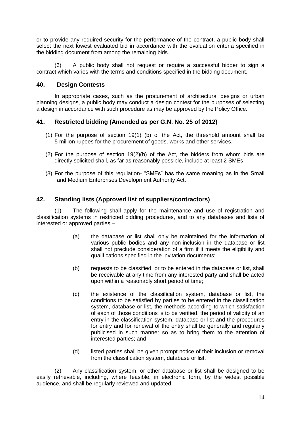or to provide any required security for the performance of the contract, a public body shall select the next lowest evaluated bid in accordance with the evaluation criteria specified in the bidding document from among the remaining bids.

(6) A public body shall not request or require a successful bidder to sign a contract which varies with the terms and conditions specified in the bidding document.

## <span id="page-19-0"></span>**40. Design Contests**

In appropriate cases, such as the procurement of architectural designs or urban planning designs, a public body may conduct a design contest for the purposes of selecting a design in accordance with such procedure as may be approved by the Policy Office.

## <span id="page-19-1"></span>**41. Restricted bidding (Amended as per G.N. No. 25 of 2012)**

- (1) For the purpose of section 19(1) (b) of the Act, the threshold amount shall be 5 million rupees for the procurement of goods, works and other services.
- (2) For the purpose of section 19(2)(b) of the Act, the bidders from whom bids are directly solicited shall, as far as reasonably possible, include at least 2 SMEs
- (3) For the purpose of this regulation- "SMEs" has the same meaning as in the Small and Medium Enterprises Development Authority Act.

## <span id="page-19-2"></span>**42. Standing lists (Approved list of suppliers/contractors)**

(1) The following shall apply for the maintenance and use of registration and classification systems in restricted bidding procedures, and to any databases and lists of interested or approved parties –

- (a) the database or list shall only be maintained for the information of various public bodies and any non-inclusion in the database or list shall not preclude consideration of a firm if it meets the eligibility and qualifications specified in the invitation documents;
- (b) requests to be classified, or to be entered in the database or list, shall be receivable at any time from any interested party and shall be acted upon within a reasonably short period of time;
- (c) the existence of the classification system, database or list, the conditions to be satisfied by parties to be entered in the classification system, database or list, the methods according to which satisfaction of each of those conditions is to be verified, the period of validity of an entry in the classification system, database or list and the procedures for entry and for renewal of the entry shall be generally and regularly publicised in such manner so as to bring them to the attention of interested parties; and
- (d) listed parties shall be given prompt notice of their inclusion or removal from the classification system, database or list.

(2) Any classification system, or other database or list shall be designed to be easily retrievable, including, where feasible, in electronic form, by the widest possible audience, and shall be regularly reviewed and updated.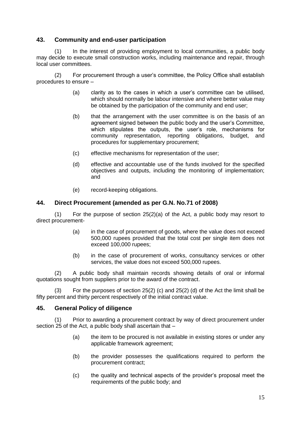## <span id="page-20-0"></span>**43. Community and end-user participation**

(1) In the interest of providing employment to local communities, a public body may decide to execute small construction works, including maintenance and repair, through local user committees.

(2) For procurement through a user's committee, the Policy Office shall establish procedures to ensure –

- (a) clarity as to the cases in which a user's committee can be utilised, which should normally be labour intensive and where better value may be obtained by the participation of the community and end user;
- (b) that the arrangement with the user committee is on the basis of an agreement signed between the public body and the user's Committee, which stipulates the outputs, the user's role, mechanisms for community representation, reporting obligations, budget, and procedures for supplementary procurement;
- (c) effective mechanisms for representation of the user;
- (d) effective and accountable use of the funds involved for the specified objectives and outputs, including the monitoring of implementation; and
- (e) record-keeping obligations.

## <span id="page-20-1"></span>**44. Direct Procurement (amended as per G.N. No.71 of 2008)**

(1) For the purpose of section 25(2)(a) of the Act, a public body may resort to direct procurement-

- (a) in the case of procurement of goods, where the value does not exceed 500,000 rupees provided that the total cost per single item does not exceed 100,000 rupees;
- (b) in the case of procurement of works, consultancy services or other services, the value does not exceed 500,000 rupees.

(2) A public body shall maintain records showing details of oral or informal quotations sought from suppliers prior to the award of the contract.

(3) For the purposes of section 25(2) (c) and 25(2) (d) of the Act the limit shall be fifty percent and thirty percent respectively of the initial contract value.

## <span id="page-20-2"></span>**45. General Policy of diligence**

(1) Prior to awarding a procurement contract by way of direct procurement under section 25 of the Act, a public body shall ascertain that –

- (a) the item to be procured is not available in existing stores or under any applicable framework agreement;
- (b) the provider possesses the qualifications required to perform the procurement contract;
- (c) the quality and technical aspects of the provider's proposal meet the requirements of the public body; and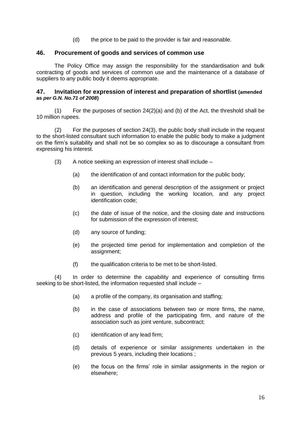(d) the price to be paid to the provider is fair and reasonable.

#### <span id="page-21-0"></span>**46. Procurement of goods and services of common use**

The Policy Office may assign the responsibility for the standardisation and bulk contracting of goods and services of common use and the maintenance of a database of suppliers to any public body it deems appropriate.

#### <span id="page-21-1"></span>**47. Invitation for expression of interest and preparation of shortlist (amended as** *per G.N. No.71 of 2008***)**

 $(1)$  For the purposes of section 24(2)(a) and (b) of the Act, the threshold shall be 10 million rupees.

(2) For the purposes of section 24(3), the public body shall include in the request to the short-listed consultant such information to enable the public body to make a judgment on the firm's suitability and shall not be so complex so as to discourage a consultant from expressing his interest.

- (3) A notice seeking an expression of interest shall include
	- (a) the identification of and contact information for the public body;
	- (b) an identification and general description of the assignment or project in question, including the working location, and any project identification code;
	- (c) the date of issue of the notice, and the closing date and instructions for submission of the expression of interest;
	- (d) any source of funding;
	- (e) the projected time period for implementation and completion of the assignment;
	- (f) the qualification criteria to be met to be short-listed.

(4) In order to determine the capability and experience of consulting firms seeking to be short-listed, the information requested shall include –

- (a) a profile of the company, its organisation and staffing;
- (b) in the case of associations between two or more firms, the name, address and profile of the participating firm, and nature of the association such as joint venture, subcontract;
- (c) identification of any lead firm;
- (d) details of experience or similar assignments undertaken in the previous 5 years, including their locations ;
- (e) the focus on the firms' role in similar assignments in the region or elsewhere;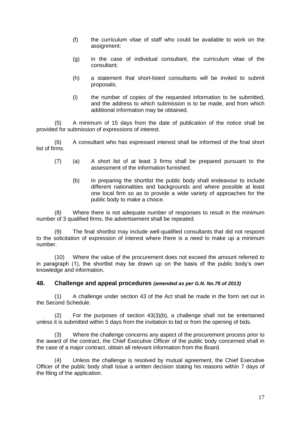- (f) the curriculum vitae of staff who could be available to work on the assignment;
- (g) in the case of individual consultant, the curriculum vitae of the consultant;
- (h) a statement that short-listed consultants will be invited to submit proposals;
- (i) the number of copies of the requested information to be submitted, and the address to which submission is to be made, and from which additional information may be obtained.

(5) A minimum of 15 days from the date of publication of the notice shall be provided for submission of expressions of interest.

(6) A consultant who has expressed interest shall be informed of the final short list of firms.

- (7) (a) A short list of at least 3 firms shall be prepared pursuant to the assessment of the information furnished.
	- (b) In preparing the shortlist the public body shall endeavour to include different nationalities and backgrounds and where possible at least one local firm so as to provide a wide variety of approaches for the public body to make a choice.

(8) Where there is not adequate number of responses to result in the minimum number of 3 qualified firms, the advertisement shall be repeated.

(9) The final shortlist may include well-qualified consultants that did not respond to the solicitation of expression of interest where there is a need to make up a minimum number.

(10) Where the value of the procurement does not exceed the amount referred to in paragraph (1), the shortlist may be drawn up on the basis of the public body's own knowledge and information.

## <span id="page-22-0"></span>**48. Challenge and appeal procedures** *(amended as per G.N. No.75 of 2013)*

(1) A challenge under section 43 of the Act shall be made in the form set out in the Second Schedule.

For the purposes of section  $43(3)(b)$ , a challenge shall not be entertained unless it is submitted within 5 days from the invitation to bid or from the opening of bids.

(3) Where the challenge concerns any aspect of the procurement process prior to the award of the contract, the Chief Executive Officer of the public body concerned shall in the case of a major contract, obtain all relevant information from the Board.

(4) Unless the challenge is resolved by mutual agreement, the Chief Executive Officer of the public body shall issue a written decision stating his reasons within 7 days of the filing of the application.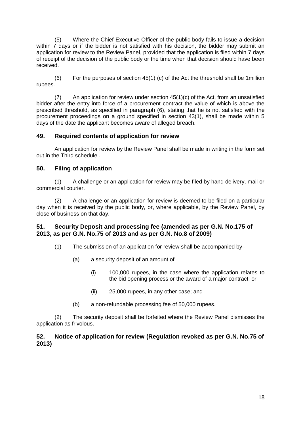(5) Where the Chief Executive Officer of the public body fails to issue a decision within 7 days or if the bidder is not satisfied with his decision, the bidder may submit an application for review to the Review Panel, provided that the application is filed within 7 days of receipt of the decision of the public body or the time when that decision should have been received.

(6) For the purposes of section 45(1) (c) of the Act the threshold shall be 1million rupees.

(7) An application for review under section 45(1)(c) of the Act, from an unsatisfied bidder after the entry into force of a procurement contract the value of which is above the prescribed threshold, as specified in paragraph (6), stating that he is not satisfied with the procurement proceedings on a ground specified in section 43(1), shall be made within 5 days of the date the applicant becomes aware of alleged breach.

## <span id="page-23-0"></span>**49. Required contents of application for review**

An application for review by the Review Panel shall be made in writing in the form set out in the Third schedule .

## <span id="page-23-1"></span>**50. Filing of application**

(1) A challenge or an application for review may be filed by hand delivery, mail or commercial courier.

(2) A challenge or an application for review is deemed to be filed on a particular day when it is received by the public body, or, where applicable, by the Review Panel, by close of business on that day.

## <span id="page-23-2"></span>**51. Security Deposit and processing fee (amended as per G.N. No.175 of 2013, as per G.N. No.75 of 2013 and as per G.N. No.8 of 2009)**

- (1) The submission of an application for review shall be accompanied by–
	- (a) a security deposit of an amount of
		- (i) 100,000 rupees, in the case where the application relates to the bid opening process or the award of a major contract; or
		- (ii) 25,000 rupees, in any other case; and
	- (b) a non-refundable processing fee of 50,000 rupees.

(2) The security deposit shall be forfeited where the Review Panel dismisses the application as frivolous.

## <span id="page-23-3"></span>**52. Notice of application for review (Regulation revoked as per G.N. No.75 of 2013)**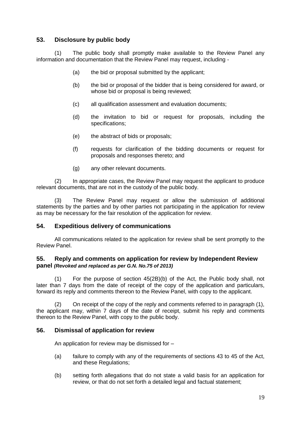## <span id="page-24-0"></span>**53. Disclosure by public body**

(1) The public body shall promptly make available to the Review Panel any information and documentation that the Review Panel may request, including -

- (a) the bid or proposal submitted by the applicant;
- (b) the bid or proposal of the bidder that is being considered for award, or whose bid or proposal is being reviewed;
- (c) all qualification assessment and evaluation documents;
- (d) the invitation to bid or request for proposals, including the specifications;
- (e) the abstract of bids or proposals;
- (f) requests for clarification of the bidding documents or request for proposals and responses thereto; and
- (g) any other relevant documents.

(2) In appropriate cases, the Review Panel may request the applicant to produce relevant documents, that are not in the custody of the public body.

(3) The Review Panel may request or allow the submission of additional statements by the parties and by other parties not participating in the application for review as may be necessary for the fair resolution of the application for review.

## <span id="page-24-1"></span>**54. Expeditious delivery of communications**

All communications related to the application for review shall be sent promptly to the Review Panel.

## <span id="page-24-2"></span>**55. Reply and comments on application for review by Independent Review panel** *(Revoked and replaced as per G.N. No.75 of 2013)*

(1) For the purpose of section 45(2B)(b) of the Act, the Public body shall, not later than 7 days from the date of receipt of the copy of the application and particulars, forward its reply and comments thereon to the Review Panel, with copy to the applicant.

(2) On receipt of the copy of the reply and comments referred to in paragraph (1), the applicant may, within 7 days of the date of receipt, submit his reply and comments thereon to the Review Panel, with copy to the public body.

## <span id="page-24-3"></span>**56. Dismissal of application for review**

An application for review may be dismissed for –

- (a) failure to comply with any of the requirements of sections 43 to 45 of the Act, and these Regulations;
- (b) setting forth allegations that do not state a valid basis for an application for review, or that do not set forth a detailed legal and factual statement;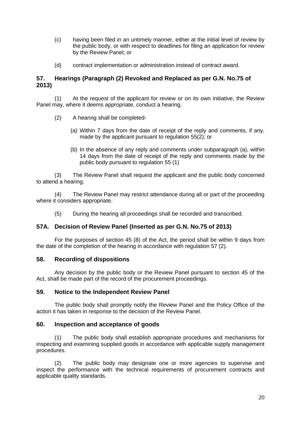- (c) having been filed in an untimely manner, either at the initial level of review by the public body, or with respect to deadlines for filing an application for review by the Review Panel; or
- (d) contract implementation or administration instead of contract award.

## <span id="page-25-0"></span>**57. Hearings (Paragraph (2) Revoked and Replaced as per G.N. No.75 of 2013)**

(1) At the request of the applicant for review or on its own initiative, the Review Panel may, where it deems appropriate, conduct a hearing.

- (2) A hearing shall be completed-
	- (a) Within 7 days from the date of receipt of the reply and comments, if any, made by the applicant pursuant to regulation 55(2); or
	- (b) In the absence of any reply and comments under subparagraph (a), within 14 days from the date of receipt of the reply and comments made by the public body pursuant to regulation 55 (1)

(3) The Review Panel shall request the applicant and the public body concerned to attend a hearing.

(4) The Review Panel may restrict attendance during all or part of the proceeding where it considers appropriate.

(5) During the hearing all proceedings shall be recorded and transcribed.

## <span id="page-25-1"></span>**57A. Decision of Review Panel (Inserted as per G.N. No.75 of 2013)**

For the purposes of section 45 (8) of the Act, the period shall be within 9 days from the date of the completion of the hearing in accordance with regulation 57 (2).

## <span id="page-25-2"></span>**58. Recording of dispositions**

Any decision by the public body or the Review Panel pursuant to section 45 of the Act, shall be made part of the record of the procurement proceedings.

## <span id="page-25-3"></span>**59. Notice to the Independent Review Panel**

The public body shall promptly notify the Review Panel and the Policy Office of the action it has taken in response to the decision of the Review Panel.

## <span id="page-25-4"></span>**60. Inspection and acceptance of goods**

(1) The public body shall establish appropriate procedures and mechanisms for inspecting and examining supplied goods in accordance with applicable supply management procedures.

(2) The public body may designate one or more agencies to supervise and inspect the performance with the technical requirements of procurement contracts and applicable quality standards.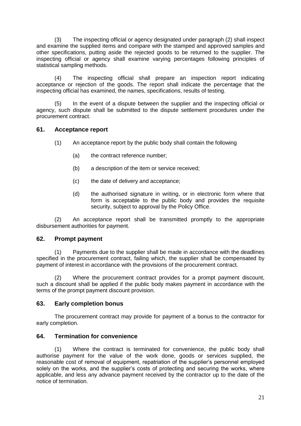(3) The inspecting official or agency designated under paragraph (2) shall inspect and examine the supplied items and compare with the stamped and approved samples and other specifications, putting aside the rejected goods to be returned to the supplier. The inspecting official or agency shall examine varying percentages following principles of statistical sampling methods.

(4) The inspecting official shall prepare an inspection report indicating acceptance or rejection of the goods. The report shall indicate the percentage that the inspecting official has examined, the names, specifications, results of testing.

(5) In the event of a dispute between the supplier and the inspecting official or agency, such dispute shall be submitted to the dispute settlement procedures under the procurement contract.

## <span id="page-26-0"></span>**61. Acceptance report**

- (1) An acceptance report by the public body shall contain the following
	- (a) the contract reference number;
	- (b) a description of the item or service received;
	- (c) the date of delivery and acceptance;
	- (d) the authorised signature in writing, or in electronic form where that form is acceptable to the public body and provides the requisite security, subject to approval by the Policy Office.

(2) An acceptance report shall be transmitted promptly to the appropriate disbursement authorities for payment.

## <span id="page-26-1"></span>**62. Prompt payment**

(1) Payments due to the supplier shall be made in accordance with the deadlines specified in the procurement contract, failing which, the supplier shall be compensated by payment of interest in accordance with the provisions of the procurement contract.

(2) Where the procurement contract provides for a prompt payment discount, such a discount shall be applied if the public body makes payment in accordance with the terms of the prompt payment discount provision.

## <span id="page-26-2"></span>**63. Early completion bonus**

The procurement contract may provide for payment of a bonus to the contractor for early completion.

## <span id="page-26-3"></span>**64. Termination for convenience**

(1) Where the contract is terminated for convenience, the public body shall authorise payment for the value of the work done, goods or services supplied, the reasonable cost of removal of equipment, repatriation of the supplier's personnel employed solely on the works, and the supplier's costs of protecting and securing the works, where applicable, and less any advance payment received by the contractor up to the date of the notice of termination.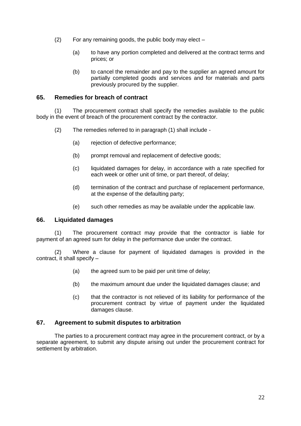- (2) For any remaining goods, the public body may elect
	- (a) to have any portion completed and delivered at the contract terms and prices; or
	- (b) to cancel the remainder and pay to the supplier an agreed amount for partially completed goods and services and for materials and parts previously procured by the supplier.

## <span id="page-27-0"></span>**65. Remedies for breach of contract**

(1) The procurement contract shall specify the remedies available to the public body in the event of breach of the procurement contract by the contractor.

- (2) The remedies referred to in paragraph (1) shall include
	- (a) rejection of defective performance;
	- (b) prompt removal and replacement of defective goods;
	- (c) liquidated damages for delay, in accordance with a rate specified for each week or other unit of time, or part thereof, of delay;
	- (d) termination of the contract and purchase of replacement performance, at the expense of the defaulting party;
	- (e) such other remedies as may be available under the applicable law.

## <span id="page-27-1"></span>**66. Liquidated damages**

(1) The procurement contract may provide that the contractor is liable for payment of an agreed sum for delay in the performance due under the contract.

(2) Where a clause for payment of liquidated damages is provided in the contract, it shall specify –

- (a) the agreed sum to be paid per unit time of delay;
- (b) the maximum amount due under the liquidated damages clause; and
- (c) that the contractor is not relieved of its liability for performance of the procurement contract by virtue of payment under the liquidated damages clause.

## <span id="page-27-2"></span>**67. Agreement to submit disputes to arbitration**

The parties to a procurement contract may agree in the procurement contract, or by a separate agreement, to submit any dispute arising out under the procurement contract for settlement by arbitration.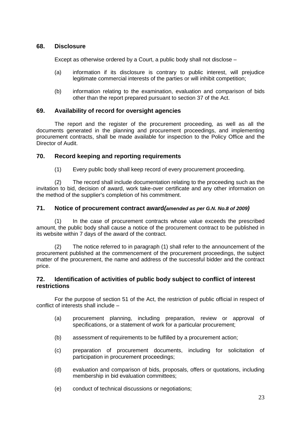## <span id="page-28-0"></span>**68. Disclosure**

Except as otherwise ordered by a Court, a public body shall not disclose –

- (a) information if its disclosure is contrary to public interest, will prejudice legitimate commercial interests of the parties or will inhibit competition;
- (b) information relating to the examination, evaluation and comparison of bids other than the report prepared pursuant to section 37 of the Act.

## <span id="page-28-1"></span>**69. Availability of record for oversight agencies**

The report and the register of the procurement proceeding, as well as all the documents generated in the planning and procurement proceedings, and implementing procurement contracts, shall be made available for inspection to the Policy Office and the Director of Audit.

## <span id="page-28-2"></span>**70. Record keeping and reporting requirements**

(1) Every public body shall keep record of every procurement proceeding.

(2) The record shall include documentation relating to the proceeding such as the invitation to bid, decision of award, work take-over certificate and any other information on the method of the supplier's completion of his commitment.

## <span id="page-28-3"></span>**71. Notice of procurement contract award***(amended as per G.N. No.8 of 2009)*

(1) In the case of procurement contracts whose value exceeds the prescribed amount, the public body shall cause a notice of the procurement contract to be published in its website within 7 days of the award of the contract.

(2) The notice referred to in paragraph (1) shall refer to the announcement of the procurement published at the commencement of the procurement proceedings, the subject matter of the procurement, the name and address of the successful bidder and the contract price.

## <span id="page-28-4"></span>**72. Identification of activities of public body subject to conflict of interest restrictions**

For the purpose of section 51 of the Act, the restriction of public official in respect of conflict of interests shall include –

- (a) procurement planning, including preparation, review or approval of specifications, or a statement of work for a particular procurement;
- (b) assessment of requirements to be fulfilled by a procurement action;
- (c) preparation of procurement documents, including for solicitation of participation in procurement proceedings;
- (d) evaluation and comparison of bids, proposals, offers or quotations, including membership in bid evaluation committees;
- (e) conduct of technical discussions or negotiations;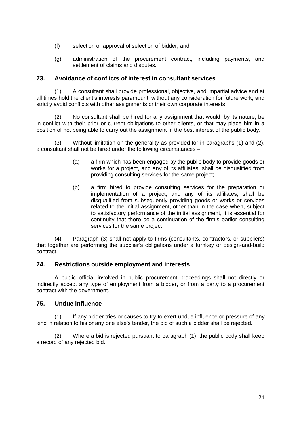- (f) selection or approval of selection of bidder; and
- (g) administration of the procurement contract, including payments, and settlement of claims and disputes.

## <span id="page-29-0"></span>**73. Avoidance of conflicts of interest in consultant services**

(1) A consultant shall provide professional, objective, and impartial advice and at all times hold the client's interests paramount, without any consideration for future work, and strictly avoid conflicts with other assignments or their own corporate interests.

(2) No consultant shall be hired for any assignment that would, by its nature, be in conflict with their prior or current obligations to other clients, or that may place him in a position of not being able to carry out the assignment in the best interest of the public body.

(3) Without limitation on the generality as provided for in paragraphs (1) and (2), a consultant shall not be hired under the following circumstances –

- (a) a firm which has been engaged by the public body to provide goods or works for a project, and any of its affiliates, shall be disqualified from providing consulting services for the same project;
- (b) a firm hired to provide consulting services for the preparation or implementation of a project, and any of its affiliates, shall be disqualified from subsequently providing goods or works or services related to the initial assignment, other than in the case when, subject to satisfactory performance of the initial assignment, it is essential for continuity that there be a continuation of the firm's earlier consulting services for the same project.

(4) Paragraph (3) shall not apply to firms (consultants, contractors, or suppliers) that together are performing the supplier's obligations under a turnkey or design-and-build contract.

## <span id="page-29-1"></span>**74. Restrictions outside employment and interests**

A public official involved in public procurement proceedings shall not directly or indirectly accept any type of employment from a bidder, or from a party to a procurement contract with the government.

## <span id="page-29-2"></span>**75. Undue influence**

(1) If any bidder tries or causes to try to exert undue influence or pressure of any kind in relation to his or any one else's tender, the bid of such a bidder shall be rejected.

(2) Where a bid is rejected pursuant to paragraph (1), the public body shall keep a record of any rejected bid.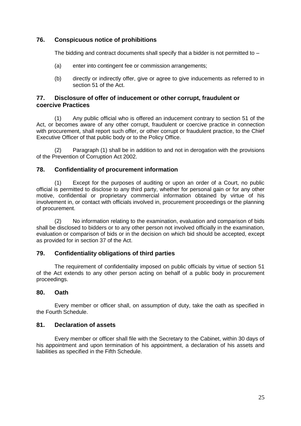## <span id="page-30-0"></span>**76. Conspicuous notice of prohibitions**

The bidding and contract documents shall specify that a bidder is not permitted to –

- (a) enter into contingent fee or commission arrangements;
- (b) directly or indirectly offer, give or agree to give inducements as referred to in section 51 of the Act.

## <span id="page-30-1"></span>**77. Disclosure of offer of inducement or other corrupt, fraudulent or coercive Practices**

(1) Any public official who is offered an inducement contrary to section 51 of the Act, or becomes aware of any other corrupt, fraudulent or coercive practice in connection with procurement, shall report such offer, or other corrupt or fraudulent practice, to the Chief Executive Officer of that public body or to the Policy Office.

(2) Paragraph (1) shall be in addition to and not in derogation with the provisions of the Prevention of Corruption Act 2002.

## <span id="page-30-2"></span>**78. Confidentiality of procurement information**

(1) Except for the purposes of auditing or upon an order of a Court, no public official is permitted to disclose to any third party, whether for personal gain or for any other motive, confidential or proprietary commercial information obtained by virtue of his involvement in, or contact with officials involved in, procurement proceedings or the planning of procurement.

(2) No information relating to the examination, evaluation and comparison of bids shall be disclosed to bidders or to any other person not involved officially in the examination, evaluation or comparison of bids or in the decision on which bid should be accepted, except as provided for in section 37 of the Act.

## <span id="page-30-3"></span>**79. Confidentiality obligations of third parties**

The requirement of confidentiality imposed on public officials by virtue of section 51 of the Act extends to any other person acting on behalf of a public body in procurement proceedings.

## <span id="page-30-4"></span>**80. Oath**

Every member or officer shall, on assumption of duty, take the oath as specified in the Fourth Schedule.

## <span id="page-30-5"></span>**81. Declaration of assets**

Every member or officer shall file with the Secretary to the Cabinet, within 30 days of his appointment and upon termination of his appointment, a declaration of his assets and liabilities as specified in the Fifth Schedule.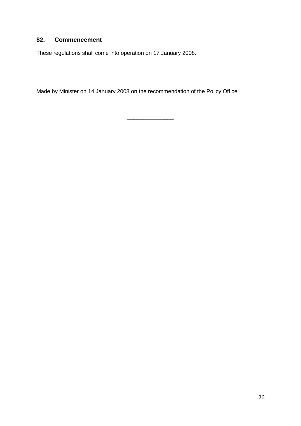# <span id="page-31-0"></span>**82. Commencement**

These regulations shall come into operation on 17 January 2008.

Made by Minister on 14 January 2008 on the recommendation of the Policy Office.

\_\_\_\_\_\_\_\_\_\_\_\_\_\_\_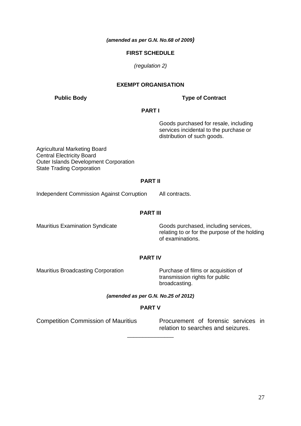*(amended as per G.N. No.68 of 2009)*

#### **FIRST SCHEDULE**

*(regulation 2)*

#### **EXEMPT ORGANISATION**

## **Public Body Type of Contract**

#### **PART I**

Goods purchased for resale, including services incidental to the purchase or distribution of such goods.

Agricultural Marketing Board Central Electricity Board Outer Islands Development Corporation State Trading Corporation

#### **PART II**

Independent Commission Against Corruption All contracts.

#### **PART III**

Mauritius Examination Syndicate Goods purchased, including services, relating to or for the purpose of the holding of examinations.

## **PART IV**

Mauritius Broadcasting Corporation Purchase of films or acquisition of

transmission rights for public broadcasting.

## *(amended as per G.N. No.25 of 2012)*

## **PART V**

\_\_\_\_\_\_\_\_\_\_\_\_\_\_\_

Competition Commission of Mauritius Procurement of forensic services in relation to searches and seizures.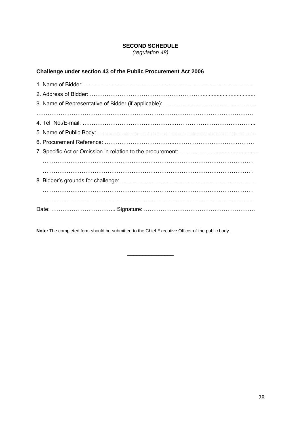## **SECOND SCHEDULE**

*(regulation 48)*

# **Challenge under section 43 of the Public Procurement Act 2006**

**Note:** The completed form should be submitted to the Chief Executive Officer of the public body.

\_\_\_\_\_\_\_\_\_\_\_\_\_\_\_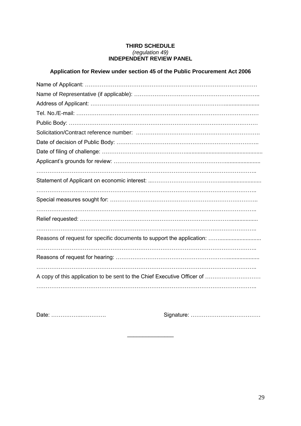#### **THIRD SCHEDULE** *(regulation 49)* **INDEPENDENT REVIEW PANEL**

## **Application for Review under section 45 of the Public Procurement Act 2006**

| Reasons of request for specific documents to support the application:   |
|-------------------------------------------------------------------------|
|                                                                         |
|                                                                         |
|                                                                         |
| A copy of this application to be sent to the Chief Executive Officer of |
|                                                                         |

\_\_\_\_\_\_\_\_\_\_\_\_\_\_\_

Date: ……………..…………. Signature: …………………..……………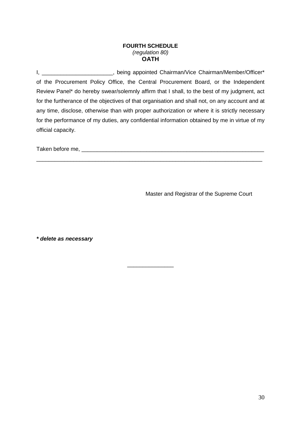#### **FOURTH SCHEDULE** *(regulation 80)* **OATH**

I, \_\_\_\_\_\_\_\_\_\_\_\_\_\_\_\_\_\_\_\_\_\_\_, being appointed Chairman/Vice Chairman/Member/Officer\* of the Procurement Policy Office, the Central Procurement Board, or the Independent Review Panel\* do hereby swear/solemnly affirm that I shall, to the best of my judgment, act for the furtherance of the objectives of that organisation and shall not, on any account and at any time, disclose, otherwise than with proper authorization or where it is strictly necessary for the performance of my duties, any confidential information obtained by me in virtue of my official capacity.

\_\_\_\_\_\_\_\_\_\_\_\_\_\_\_\_\_\_\_\_\_\_\_\_\_\_\_\_\_\_\_\_\_\_\_\_\_\_\_\_\_\_\_\_\_\_\_\_\_\_\_\_\_\_\_\_\_\_\_\_\_\_\_\_\_\_\_\_\_\_\_\_\_

\_\_\_\_\_\_\_\_\_\_\_\_\_\_\_

Taken before me, \_\_\_\_\_\_\_\_\_\_\_\_\_\_\_\_\_\_\_\_\_\_\_\_\_\_\_\_\_\_\_\_\_\_\_\_\_\_\_\_\_\_\_\_\_\_\_\_\_\_\_\_\_\_\_\_\_\_\_

Master and Registrar of the Supreme Court

*\* delete as necessary*